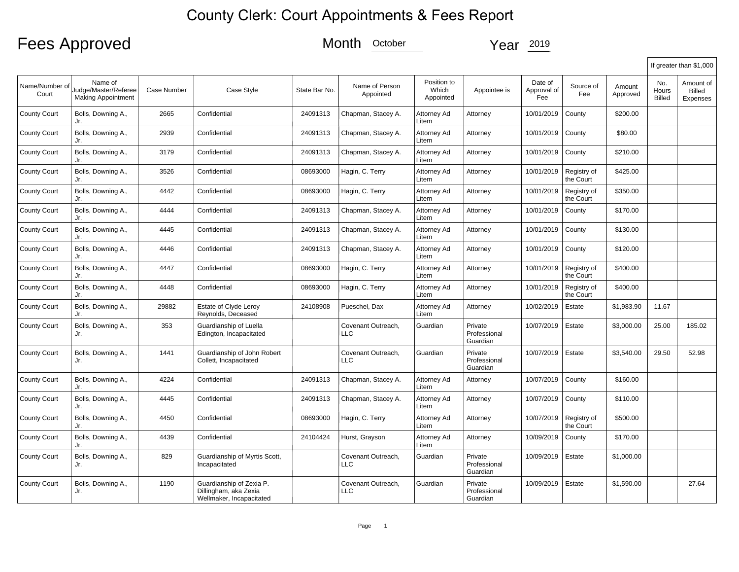## County Clerk: Court Appointments & Fees Report

## Fees Approved Month <u>October</u> Year 2019

|                         |                                                              |             |                                                                               |               |                                  |                                   |                                     |                               |                          |                    |                               | If greater than \$1,000         |
|-------------------------|--------------------------------------------------------------|-------------|-------------------------------------------------------------------------------|---------------|----------------------------------|-----------------------------------|-------------------------------------|-------------------------------|--------------------------|--------------------|-------------------------------|---------------------------------|
| Name/Number of<br>Court | Name of<br>Judge/Master/Referee<br><b>Making Appointment</b> | Case Number | Case Style                                                                    | State Bar No. | Name of Person<br>Appointed      | Position to<br>Which<br>Appointed | Appointee is                        | Date of<br>Approval of<br>Fee | Source of<br>Fee         | Amount<br>Approved | No.<br>Hours<br><b>Billed</b> | Amount of<br>Billed<br>Expenses |
| County Court            | Bolls, Downing A.,<br>Jr.                                    | 2665        | Confidential                                                                  | 24091313      | Chapman, Stacey A.               | Attorney Ad<br>Litem              | Attorney                            | 10/01/2019                    | County                   | \$200.00           |                               |                                 |
| County Court            | Bolls, Downing A.,<br>Jr.                                    | 2939        | Confidential                                                                  | 24091313      | Chapman, Stacey A.               | Attorney Ad<br>Litem              | Attorney                            | 10/01/2019                    | County                   | \$80.00            |                               |                                 |
| County Court            | Bolls, Downing A.,<br>Jr.                                    | 3179        | Confidential                                                                  | 24091313      | Chapman, Stacey A.               | Attorney Ad<br>Litem              | Attorney                            | 10/01/2019                    | County                   | \$210.00           |                               |                                 |
| <b>County Court</b>     | Bolls, Downing A.,<br>Jr.                                    | 3526        | Confidential                                                                  | 08693000      | Hagin, C. Terry                  | Attorney Ad<br>Litem              | Attorney                            | 10/01/2019                    | Registry of<br>the Court | \$425.00           |                               |                                 |
| County Court            | Bolls, Downing A.,<br>Jr.                                    | 4442        | Confidential                                                                  | 08693000      | Hagin, C. Terry                  | Attorney Ad<br>Litem              | Attorney                            | 10/01/2019                    | Registry of<br>the Court | \$350.00           |                               |                                 |
| <b>County Court</b>     | Bolls, Downing A.,<br>Jr.                                    | 4444        | Confidential                                                                  | 24091313      | Chapman, Stacey A.               | Attorney Ad<br>Litem              | Attorney                            | 10/01/2019                    | County                   | \$170.00           |                               |                                 |
| County Court            | Bolls, Downing A.,<br>Jr.                                    | 4445        | Confidential                                                                  | 24091313      | Chapman, Stacey A.               | Attorney Ad<br>Litem              | Attorney                            | 10/01/2019                    | County                   | \$130.00           |                               |                                 |
| County Court            | Bolls, Downing A.,<br>Jr.                                    | 4446        | Confidential                                                                  | 24091313      | Chapman, Stacey A.               | Attorney Ad<br>Litem              | Attorney                            | 10/01/2019                    | County                   | \$120.00           |                               |                                 |
| County Court            | Bolls, Downing A.,<br>Jr.                                    | 4447        | Confidential                                                                  | 08693000      | Hagin, C. Terry                  | Attorney Ad<br>Litem              | Attorney                            | 10/01/2019                    | Registry of<br>the Court | \$400.00           |                               |                                 |
| County Court            | Bolls, Downing A.,<br>Jr.                                    | 4448        | Confidential                                                                  | 08693000      | Hagin, C. Terry                  | Attorney Ad<br>Litem              | Attorney                            | 10/01/2019                    | Registry of<br>the Court | \$400.00           |                               |                                 |
| County Court            | Bolls, Downing A.,<br>Jr.                                    | 29882       | Estate of Clyde Leroy<br>Reynolds, Deceased                                   | 24108908      | Pueschel, Dax                    | Attorney Ad<br>Litem              | Attorney                            | 10/02/2019                    | Estate                   | \$1,983.90         | 11.67                         |                                 |
| County Court            | Bolls, Downing A.,<br>Jr.                                    | 353         | Guardianship of Luella<br>Edington, Incapacitated                             |               | Covenant Outreach,<br><b>LLC</b> | Guardian                          | Private<br>Professional<br>Guardian | 10/07/2019                    | Estate                   | \$3,000.00         | 25.00                         | 185.02                          |
| County Court            | Bolls, Downing A.,<br>Jr.                                    | 1441        | Guardianship of John Robert<br>Collett, Incapacitated                         |               | Covenant Outreach,<br>LLC.       | Guardian                          | Private<br>Professional<br>Guardian | 10/07/2019                    | Estate                   | \$3,540.00         | 29.50                         | 52.98                           |
| County Court            | Bolls, Downing A.,<br>Jr.                                    | 4224        | Confidential                                                                  | 24091313      | Chapman, Stacey A.               | Attorney Ad<br>Litem              | Attorney                            | 10/07/2019                    | County                   | \$160.00           |                               |                                 |
| <b>County Court</b>     | Bolls, Downing A.,<br>Jr.                                    | 4445        | Confidential                                                                  | 24091313      | Chapman, Stacey A.               | Attorney Ad<br>Litem              | Attorney                            | 10/07/2019                    | County                   | \$110.00           |                               |                                 |
| County Court            | Bolls, Downing A.,<br>Jr.                                    | 4450        | Confidential                                                                  | 08693000      | Hagin, C. Terry                  | Attorney Ad<br>Litem              | Attorney                            | 10/07/2019                    | Registry of<br>the Court | \$500.00           |                               |                                 |
| County Court            | Bolls, Downing A.,<br>Jr.                                    | 4439        | Confidential                                                                  | 24104424      | Hurst, Grayson                   | Attorney Ad<br>Litem              | Attorney                            | 10/09/2019                    | County                   | \$170.00           |                               |                                 |
| County Court            | Bolls, Downing A.,<br>Jr.                                    | 829         | Guardianship of Myrtis Scott,<br>Incapacitated                                |               | Covenant Outreach,<br><b>LLC</b> | Guardian                          | Private<br>Professional<br>Guardian | 10/09/2019                    | Estate                   | \$1,000.00         |                               |                                 |
| County Court            | Bolls, Downing A.,<br>Jr.                                    | 1190        | Guardianship of Zexia P.<br>Dillingham, aka Zexia<br>Wellmaker, Incapacitated |               | Covenant Outreach,<br><b>LLC</b> | Guardian                          | Private<br>Professional<br>Guardian | 10/09/2019                    | Estate                   | \$1,590.00         |                               | 27.64                           |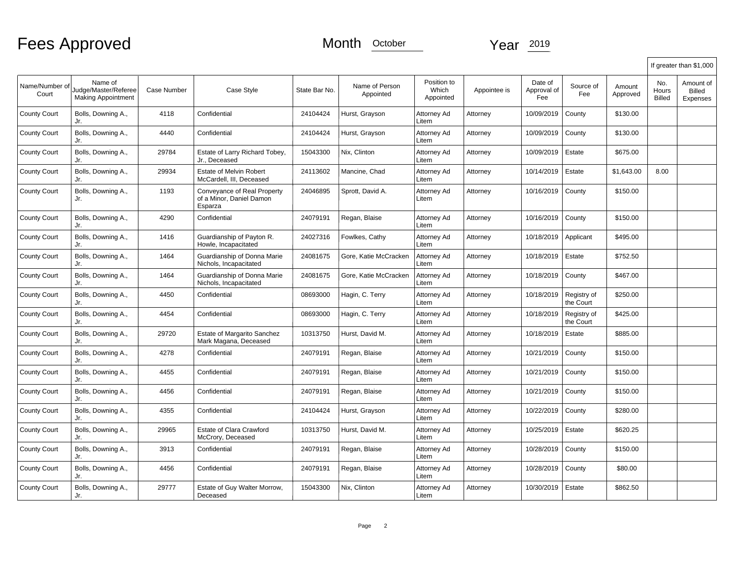|                         |                                                              |                    |                                                                    |               |                             |                                   |              |                               |                          |                    |                               | If greater than \$1,000                |
|-------------------------|--------------------------------------------------------------|--------------------|--------------------------------------------------------------------|---------------|-----------------------------|-----------------------------------|--------------|-------------------------------|--------------------------|--------------------|-------------------------------|----------------------------------------|
| Name/Number of<br>Court | Name of<br>Judge/Master/Referee<br><b>Making Appointment</b> | <b>Case Number</b> | Case Style                                                         | State Bar No. | Name of Person<br>Appointed | Position to<br>Which<br>Appointed | Appointee is | Date of<br>Approval of<br>Fee | Source of<br>Fee         | Amount<br>Approved | No.<br>Hours<br><b>Billed</b> | Amount of<br><b>Billed</b><br>Expenses |
| <b>County Court</b>     | Bolls, Downing A.,<br>Jr.                                    | 4118               | Confidential                                                       | 24104424      | Hurst, Grayson              | Attorney Ad<br>Litem              | Attorney     | 10/09/2019                    | County                   | \$130.00           |                               |                                        |
| <b>County Court</b>     | Bolls, Downing A.,<br>Jr.                                    | 4440               | Confidential                                                       | 24104424      | Hurst, Grayson              | Attorney Ad<br>Litem              | Attorney     | 10/09/2019                    | County                   | \$130.00           |                               |                                        |
| <b>County Court</b>     | Bolls, Downing A.,<br>Jr.                                    | 29784              | Estate of Larry Richard Tobey,<br>Jr., Deceased                    | 15043300      | Nix, Clinton                | Attorney Ad<br>Litem              | Attorney     | 10/09/2019                    | Estate                   | \$675.00           |                               |                                        |
| <b>County Court</b>     | Bolls, Downing A.,<br>Jr.                                    | 29934              | Estate of Melvin Robert<br>McCardell, III, Deceased                | 24113602      | Mancine, Chad               | Attorney Ad<br>Litem              | Attorney     | 10/14/2019                    | Estate                   | \$1,643.00         | 8.00                          |                                        |
| <b>County Court</b>     | Bolls, Downing A.,<br>Jr.                                    | 1193               | Conveyance of Real Property<br>of a Minor, Daniel Damon<br>Esparza | 24046895      | Sprott, David A.            | Attorney Ad<br>Litem              | Attorney     | 10/16/2019                    | County                   | \$150.00           |                               |                                        |
| <b>County Court</b>     | Bolls, Downing A.,<br>Jr.                                    | 4290               | Confidential                                                       | 24079191      | Regan, Blaise               | Attorney Ad<br>Litem              | Attorney     | 10/16/2019                    | County                   | \$150.00           |                               |                                        |
| <b>County Court</b>     | Bolls, Downing A.,<br>Jr.                                    | 1416               | Guardianship of Payton R.<br>Howle, Incapacitated                  | 24027316      | Fowlkes, Cathy              | Attorney Ad<br>Litem              | Attorney     | 10/18/2019                    | Applicant                | \$495.00           |                               |                                        |
| <b>County Court</b>     | Bolls, Downing A.,<br>Jr.                                    | 1464               | Guardianship of Donna Marie<br>Nichols, Incapacitated              | 24081675      | Gore, Katie McCracken       | Attorney Ad<br>Litem              | Attorney     | 10/18/2019                    | Estate                   | \$752.50           |                               |                                        |
| <b>County Court</b>     | Bolls, Downing A.,<br>Jr.                                    | 1464               | Guardianship of Donna Marie<br>Nichols, Incapacitated              | 24081675      | Gore, Katie McCracken       | Attorney Ad<br>Litem              | Attorney     | 10/18/2019                    | County                   | \$467.00           |                               |                                        |
| <b>County Court</b>     | Bolls, Downing A.,<br>Jr.                                    | 4450               | Confidential                                                       | 08693000      | Hagin, C. Terry             | Attorney Ad<br>Litem              | Attorney     | 10/18/2019                    | Registry of<br>the Court | \$250.00           |                               |                                        |
| <b>County Court</b>     | Bolls, Downing A.,<br>Jr.                                    | 4454               | Confidential                                                       | 08693000      | Hagin, C. Terry             | Attorney Ad<br>Litem              | Attorney     | 10/18/2019                    | Registry of<br>the Court | \$425.00           |                               |                                        |
| <b>County Court</b>     | Bolls, Downing A.,<br>Jr.                                    | 29720              | Estate of Margarito Sanchez<br>Mark Magana, Deceased               | 10313750      | Hurst, David M.             | Attorney Ad<br>Litem              | Attorney     | 10/18/2019                    | Estate                   | \$885.00           |                               |                                        |
| <b>County Court</b>     | Bolls, Downing A.,<br>Jr.                                    | 4278               | Confidential                                                       | 24079191      | Regan, Blaise               | Attorney Ad<br>Litem              | Attorney     | 10/21/2019                    | County                   | \$150.00           |                               |                                        |
| <b>County Court</b>     | Bolls, Downing A.,<br>Jr.                                    | 4455               | Confidential                                                       | 24079191      | Regan, Blaise               | Attorney Ad<br>Litem              | Attorney     | 10/21/2019                    | County                   | \$150.00           |                               |                                        |
| <b>County Court</b>     | Bolls, Downing A.,<br>Jr.                                    | 4456               | Confidential                                                       | 24079191      | Regan, Blaise               | Attorney Ad<br>Litem              | Attorney     | 10/21/2019                    | County                   | \$150.00           |                               |                                        |
| <b>County Court</b>     | Bolls, Downing A.,<br>Jr.                                    | 4355               | Confidential                                                       | 24104424      | Hurst, Grayson              | Attorney Ad<br>Litem              | Attorney     | 10/22/2019                    | County                   | \$280.00           |                               |                                        |
| <b>County Court</b>     | Bolls, Downing A.,<br>Jr.                                    | 29965              | Estate of Clara Crawford<br>McCrory, Deceased                      | 10313750      | Hurst, David M.             | Attorney Ad<br>Litem              | Attorney     | 10/25/2019                    | Estate                   | \$620.25           |                               |                                        |
| <b>County Court</b>     | Bolls, Downing A.,<br>Jr.                                    | 3913               | Confidential                                                       | 24079191      | Regan, Blaise               | Attorney Ad<br>Litem              | Attorney     | 10/28/2019                    | County                   | \$150.00           |                               |                                        |
| <b>County Court</b>     | Bolls, Downing A.,<br>Jr.                                    | 4456               | Confidential                                                       | 24079191      | Regan, Blaise               | Attorney Ad<br>Litem              | Attorney     | 10/28/2019                    | County                   | \$80.00            |                               |                                        |
| <b>County Court</b>     | Bolls, Downing A.,<br>Jr.                                    | 29777              | Estate of Guy Walter Morrow,<br>Deceased                           | 15043300      | Nix, Clinton                | Attorney Ad<br>Litem              | Attorney     | 10/30/2019                    | Estate                   | \$862.50           |                               |                                        |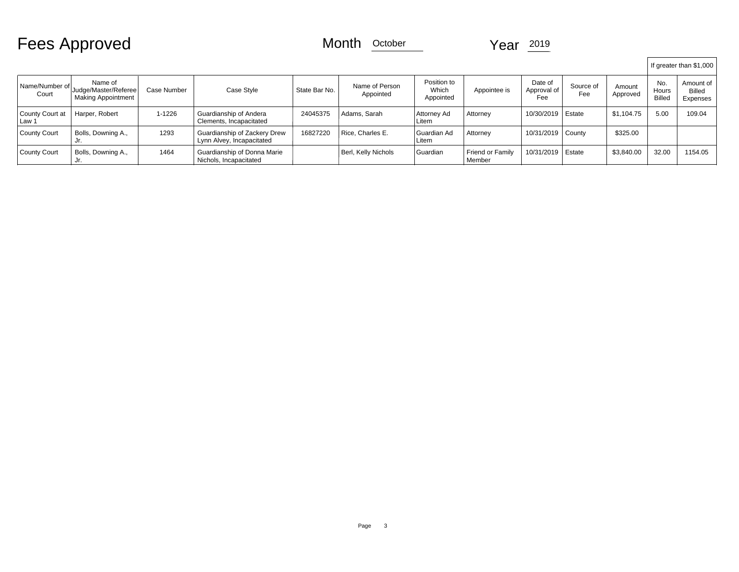# Fees Approved Month <u>October</u> Year 2019

|                          |                                                       |             |                                                           |               |                             |                                   |                                   |                               |                  |                    |                                      | If greater than \$1,000         |
|--------------------------|-------------------------------------------------------|-------------|-----------------------------------------------------------|---------------|-----------------------------|-----------------------------------|-----------------------------------|-------------------------------|------------------|--------------------|--------------------------------------|---------------------------------|
| Name/Number of<br>Court  | Name of<br>Judge/Master/Referee<br>Making Appointment | Case Number | Case Style                                                | State Bar No. | Name of Person<br>Appointed | Position to<br>Which<br>Appointed | Appointee is                      | Date of<br>Approval of<br>Fee | Source of<br>Fee | Amount<br>Approved | No.<br><b>Hours</b><br><b>Billed</b> | Amount of<br>Billed<br>Expenses |
| County Court at<br>Law 1 | Harper, Robert                                        | 1-1226      | Guardianship of Andera<br>Clements, Incapacitated         | 24045375      | Adams, Sarah                | Attorney Ad<br>∟item              | Attorney                          | 10/30/2019                    | Estate           | \$1,104.75         | 5.00                                 | 109.04                          |
| County Court             | Bolls, Downing A.,                                    | 1293        | Guardianship of Zackery Drew<br>Lynn Alvey, Incapacitated | 16827220      | Rice, Charles E.            | l Guardian Ad<br>Litem            | Attorney                          | 10/31/2019   County           |                  | \$325.00           |                                      |                                 |
| County Court             | Bolls, Downing A.,                                    | 1464        | Guardianship of Donna Marie<br>Nichols, Incapacitated     |               | Berl, Kelly Nichols         | Guardian                          | <b>Friend or Family</b><br>Member | 10/31/2019                    | Estate           | \$3,840.00         | 32.00                                | 1154.05                         |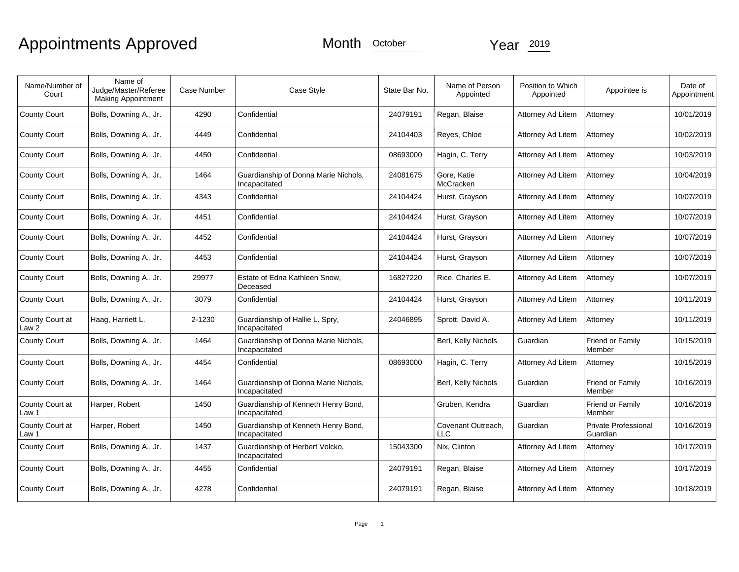# Appointments Approved Month **October** Year 2019

| Name/Number of<br>Court             | Name of<br>Judge/Master/Referee<br>Making Appointment | Case Number | Case Style                                            | State Bar No. | Name of Person<br>Appointed | Position to Which<br>Appointed | Appointee is                            | Date of<br>Appointment |
|-------------------------------------|-------------------------------------------------------|-------------|-------------------------------------------------------|---------------|-----------------------------|--------------------------------|-----------------------------------------|------------------------|
| <b>County Court</b>                 | Bolls, Downing A., Jr.                                | 4290        | Confidential                                          | 24079191      | Regan, Blaise               | Attorney Ad Litem              | Attorney                                | 10/01/2019             |
| <b>County Court</b>                 | Bolls, Downing A., Jr.                                | 4449        | Confidential                                          | 24104403      | Reyes, Chloe                | Attorney Ad Litem              | Attorney                                | 10/02/2019             |
| <b>County Court</b>                 | Bolls, Downing A., Jr.                                | 4450        | Confidential                                          | 08693000      | Hagin, C. Terry             | Attorney Ad Litem              | Attorney                                | 10/03/2019             |
| <b>County Court</b>                 | Bolls, Downing A., Jr.                                | 1464        | Guardianship of Donna Marie Nichols,<br>Incapacitated | 24081675      | Gore, Katie<br>McCracken    | Attorney Ad Litem              | Attorney                                | 10/04/2019             |
| <b>County Court</b>                 | Bolls, Downing A., Jr.                                | 4343        | Confidential                                          | 24104424      | Hurst, Grayson              | Attorney Ad Litem              | Attorney                                | 10/07/2019             |
| <b>County Court</b>                 | Bolls, Downing A., Jr.                                | 4451        | Confidential                                          | 24104424      | Hurst, Grayson              | Attorney Ad Litem              | Attorney                                | 10/07/2019             |
| <b>County Court</b>                 | Bolls, Downing A., Jr.                                | 4452        | Confidential                                          | 24104424      | Hurst, Grayson              | Attorney Ad Litem              | Attorney                                | 10/07/2019             |
| <b>County Court</b>                 | Bolls, Downing A., Jr.                                | 4453        | Confidential                                          | 24104424      | Hurst, Grayson              | Attorney Ad Litem              | Attorney                                | 10/07/2019             |
| <b>County Court</b>                 | Bolls, Downing A., Jr.                                | 29977       | Estate of Edna Kathleen Snow,<br>Deceased             | 16827220      | Rice, Charles E.            | Attorney Ad Litem              | Attorney                                | 10/07/2019             |
| <b>County Court</b>                 | Bolls, Downing A., Jr.                                | 3079        | Confidential                                          | 24104424      | Hurst, Grayson              | Attorney Ad Litem              | Attorney                                | 10/11/2019             |
| County Court at<br>Law <sub>2</sub> | Haag, Harriett L.                                     | 2-1230      | Guardianship of Hallie L. Spry,<br>Incapacitated      | 24046895      | Sprott, David A.            | Attorney Ad Litem              | Attorney                                | 10/11/2019             |
| <b>County Court</b>                 | Bolls, Downing A., Jr.                                | 1464        | Guardianship of Donna Marie Nichols,<br>Incapacitated |               | Berl, Kelly Nichols         | Guardian                       | Friend or Family<br>Member              | 10/15/2019             |
| <b>County Court</b>                 | Bolls, Downing A., Jr.                                | 4454        | Confidential                                          | 08693000      | Hagin, C. Terry             | Attorney Ad Litem              | Attorney                                | 10/15/2019             |
| <b>County Court</b>                 | Bolls, Downing A., Jr.                                | 1464        | Guardianship of Donna Marie Nichols,<br>Incapacitated |               | Berl, Kelly Nichols         | Guardian                       | Friend or Family<br>Member              | 10/16/2019             |
| County Court at<br>Law 1            | Harper, Robert                                        | 1450        | Guardianship of Kenneth Henry Bond,<br>Incapacitated  |               | Gruben, Kendra              | Guardian                       | Friend or Family<br>Member              | 10/16/2019             |
| County Court at<br>Law 1            | Harper, Robert                                        | 1450        | Guardianship of Kenneth Henry Bond,<br>Incapacitated  |               | Covenant Outreach,<br>LLC   | Guardian                       | <b>Private Professional</b><br>Guardian | 10/16/2019             |
| <b>County Court</b>                 | Bolls, Downing A., Jr.                                | 1437        | Guardianship of Herbert Volcko,<br>Incapacitated      | 15043300      | Nix, Clinton                | Attorney Ad Litem              | Attorney                                | 10/17/2019             |
| <b>County Court</b>                 | Bolls, Downing A., Jr.                                | 4455        | Confidential                                          | 24079191      | Regan, Blaise               | Attorney Ad Litem              | Attorney                                | 10/17/2019             |
| <b>County Court</b>                 | Bolls, Downing A., Jr.                                | 4278        | Confidential                                          | 24079191      | Regan, Blaise               | Attorney Ad Litem              | Attorney                                | 10/18/2019             |